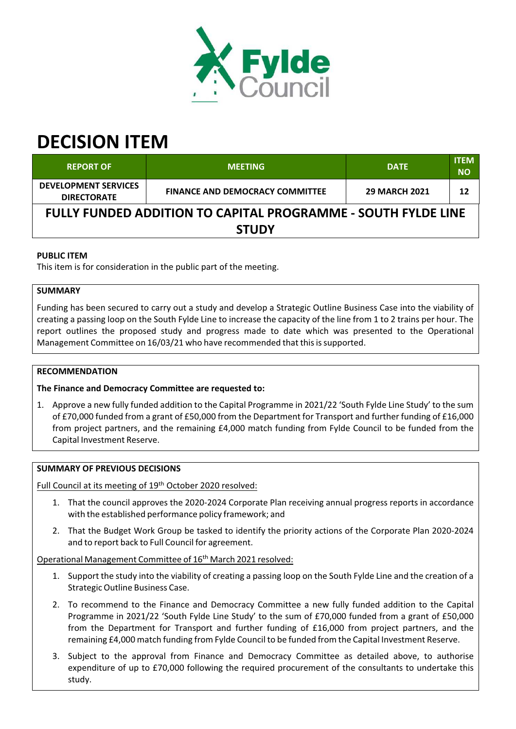

# **DECISION ITEM**

| <b>REPORT OF</b>                                              | <b>MEETING</b>                         | <b>DATE</b>          | <b>ITEM</b><br><b>NO</b> |  |  |  |
|---------------------------------------------------------------|----------------------------------------|----------------------|--------------------------|--|--|--|
| <b>DEVELOPMENT SERVICES</b><br><b>DIRECTORATE</b>             | <b>FINANCE AND DEMOCRACY COMMITTEE</b> | <b>29 MARCH 2021</b> | 12                       |  |  |  |
| FULLY FUNDED ADDITION TO CAPITAL PROGRAMME - SOUTH FYLDE LINE |                                        |                      |                          |  |  |  |
| <b>STUDY</b>                                                  |                                        |                      |                          |  |  |  |

## **PUBLIC ITEM**

This item is for consideration in the public part of the meeting.

### **SUMMARY**

Funding has been secured to carry out a study and develop a Strategic Outline Business Case into the viability of creating a passing loop on the South Fylde Line to increase the capacity of the line from 1 to 2 trains per hour. The report outlines the proposed study and progress made to date which was presented to the Operational Management Committee on 16/03/21 who have recommended that thisissupported.

#### **RECOMMENDATION**

**The Finance and Democracy Committee are requested to:**

1. Approve a new fully funded addition to the Capital Programme in 2021/22 'South Fylde Line Study' to the sum of £70,000 funded from a grant of £50,000 from the Department for Transport and further funding of £16,000 from project partners, and the remaining £4,000 match funding from Fylde Council to be funded from the Capital Investment Reserve.

#### **SUMMARY OF PREVIOUS DECISIONS**

Full Council at its meeting of 19<sup>th</sup> October 2020 resolved:

- 1. That the council approves the 2020‐2024 Corporate Plan receiving annual progress reports in accordance with the established performance policy framework; and
- 2. That the Budget Work Group be tasked to identify the priority actions of the Corporate Plan 2020‐2024 and to report back to Full Council for agreement.

Operational Management Committee of 16<sup>th</sup> March 2021 resolved:

- 1. Support the study into the viability of creating a passing loop on the South Fylde Line and the creation of a Strategic Outline Business Case.
- 2. To recommend to the Finance and Democracy Committee a new fully funded addition to the Capital Programme in 2021/22 'South Fylde Line Study' to the sum of £70,000 funded from a grant of £50,000 from the Department for Transport and further funding of £16,000 from project partners, and the remaining £4,000 match funding from Fylde Council to be funded from the Capital Investment Reserve.
- 3. Subject to the approval from Finance and Democracy Committee as detailed above, to authorise expenditure of up to £70,000 following the required procurement of the consultants to undertake this study.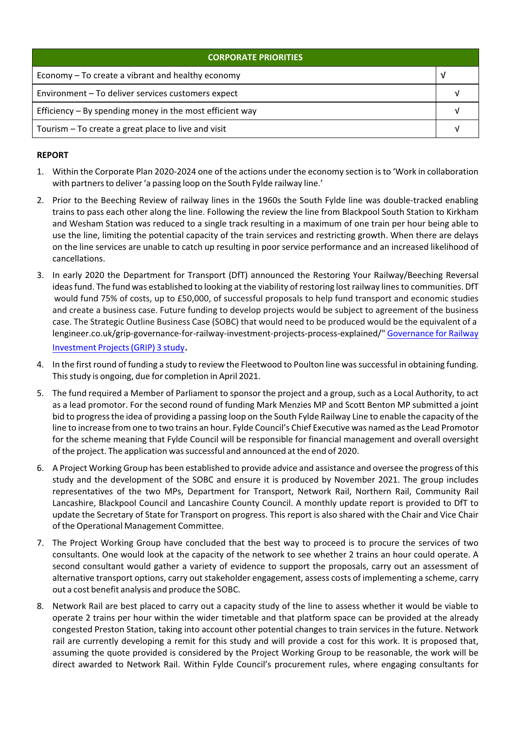| <b>CORPORATE PRIORITIES</b>                                |  |  |
|------------------------------------------------------------|--|--|
| Economy – To create a vibrant and healthy economy          |  |  |
| Environment - To deliver services customers expect         |  |  |
| Efficiency $-$ By spending money in the most efficient way |  |  |
| Tourism – To create a great place to live and visit        |  |  |

## **REPORT**

- 1. Within the Corporate Plan 2020‐2024 one of the actions under the economy section isto 'Work in collaboration with partners to deliver 'a passing loop on the South Fylde railway line.'
- 2. Prior to the Beeching Review of railway lines in the 1960s the South Fylde line was double-tracked enabling trains to pass each other along the line. Following the review the line from Blackpool South Station to Kirkham and Wesham Station was reduced to a single track resulting in a maximum of one train per hour being able to use the line, limiting the potential capacity of the train services and restricting growth. When there are delays on the line services are unable to catch up resulting in poor service performance and an increased likelihood of cancellations.
- 3. In early 2020 the Department for Transport (DfT) announced the Restoring Your Railway/Beeching Reversal ideasfund. The fund was established to looking at the viability ofrestoring lostrailway linesto communities. DfT would fund 75% of costs, up to £50,000, of successful proposals to help fund transport and economic studies and create a business case. Future funding to develop projects would be subject to agreement of the business case. The Strategic Outline Business Case (SOBC) that would need to be produced would be the equivalent of a lengineer.co.uk/grip‐governance‐for‐railway‐investment‐projects‐process‐explained/" Governance for Railway Investment Projects(GRIP) 3 study.
- 4. In the first round of funding a study to review the Fleetwood to Poulton line was successful in obtaining funding. This study is ongoing, due for completion in April 2021.
- 5. The fund required a Member of Parliament to sponsor the project and a group, such as a Local Authority, to act as a lead promotor. For the second round of funding Mark Menzies MP and Scott Benton MP submitted a joint bid to progressthe idea of providing a passing loop on the South Fylde Railway Line to enable the capacity of the line to increase from one to two trains an hour. Fylde Council's Chief Executive was named asthe Lead Promotor for the scheme meaning that Fylde Council will be responsible for financial management and overall oversight of the project. The application wassuccessful and announced at the end of 2020.
- 6. A Project Working Group has been established to provide advice and assistance and oversee the progress of this study and the development of the SOBC and ensure it is produced by November 2021. The group includes representatives of the two MPs, Department for Transport, Network Rail, Northern Rail, Community Rail Lancashire, Blackpool Council and Lancashire County Council. A monthly update report is provided to DfT to update the Secretary of State for Transport on progress. This report is also shared with the Chair and Vice Chair of the Operational Management Committee.
- 7. The Project Working Group have concluded that the best way to proceed is to procure the services of two consultants. One would look at the capacity of the network to see whether 2 trains an hour could operate. A second consultant would gather a variety of evidence to support the proposals, carry out an assessment of alternative transport options, carry out stakeholder engagement, assess costs of implementing a scheme, carry out a cost benefit analysis and produce the SOBC.
- 8. Network Rail are best placed to carry out a capacity study of the line to assess whether it would be viable to operate 2 trains per hour within the wider timetable and that platform space can be provided at the already congested Preston Station, taking into account other potential changes to train services in the future. Network rail are currently developing a remit for this study and will provide a cost for this work. It is proposed that, assuming the quote provided is considered by the Project Working Group to be reasonable, the work will be direct awarded to Network Rail. Within Fylde Council's procurement rules, where engaging consultants for